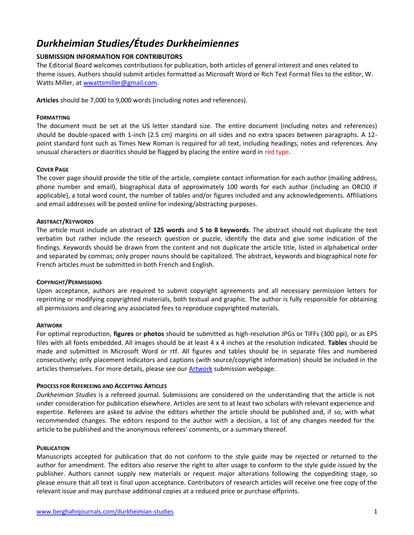# *Durkheimian Studies/Études Durkheimiennes*

# **SUBMISSION INFORMATION FOR CONTRIBUTORS**

The Editorial Board welcomes contributions for publication, both articles of general interest and ones related to theme issues. Authors should submit articles formatted as Microsoft Word or Rich Text Format files to the editor, W. Watts Miller, at [wwattsmiller@gmail.com.](mailto:wwattsmiller@gmail.com)

**Articles** should be 7,000 to 9,000 words (including notes and references).

## **FORMATTING**

The document must be set at the US letter standard size. The entire document (including notes and references) should be double-spaced with 1-inch (2.5 cm) margins on all sides and no extra spaces between paragraphs. A 12 point standard font such as Times New Roman is required for all text, including headings, notes and references. Any unusual characters or diacritics should be flagged by placing the entire word in red type.

## **COVER PAGE**

The cover page should provide the title of the article, complete contact information for each author (mailing address, phone number and email), biographical data of approximately 100 words for each author (including an ORCID if applicable), a total word count, the number of tables and/or figures included and any acknowledgements. Affiliations and email addresses will be posted online for indexing/abstracting purposes.

# **ABSTRACT/KEYWORDS**

The article must include an abstract of **125 words** and **5 to 8 keywords**. The abstract should not duplicate the text verbatim but rather include the research question or puzzle, identify the data and give some indication of the findings. Keywords should be drawn from the content and not duplicate the article title, listed in alphabetical order and separated by commas; only proper nouns should be capitalized. The abstract, keywords and biographical note for French articles must be submitted in both French and English.

## **COPYRIGHT/PERMISSIONS**

Upon acceptance, authors are required to submit copyright agreements and all necessary permission letters for reprinting or modifying copyrighted materials, both textual and graphic. The author is fully responsible for obtaining all permissions and clearing any associated fees to reproduce copyrighted materials.

## **ARTWORK**

For optimal reproduction, **figures** or **photos** should be submitted as high-resolution JPGs or TIFFs (300 ppi), or as EPS files with all fonts embedded. All images should be at least 4 x 4 inches at the resolution indicated. **Tables** should be made and submitted in Microsoft Word or rtf. All figures and tables should be in separate files and numbered consecutively; only placement indicators and captions (with source/copyright information) should be included in the articles themselves. For more details, please see ou[r Artwork](https://www.berghahnjournals.com/page/411/artwork) submission webpage.

# **PROCESS FOR REFEREEING AND ACCEPTING ARTICLES**

*Durkheimian Studies* is a refereed journal. Submissions are considered on the understanding that the article is not under consideration for publication elsewhere. Articles are sent to at least two scholars with relevant experience and expertise. Referees are asked to advise the editors whether the article should be published and, if so, with what recommended changes. The editors respond to the author with a decision, a list of any changes needed for the article to be published and the anonymous referees' comments, or a summary thereof.

## **PUBLICATION**

Manuscripts accepted for publication that do not conform to the style guide may be rejected or returned to the author for amendment. The editors also reserve the right to alter usage to conform to the style guide issued by the publisher. Authors cannot supply new materials or request major alterations following the copyediting stage, so please ensure that all text is final upon acceptance. Contributors of research articles will receive one free copy of the relevant issue and may purchase additional copies at a reduced price or purchase offprints.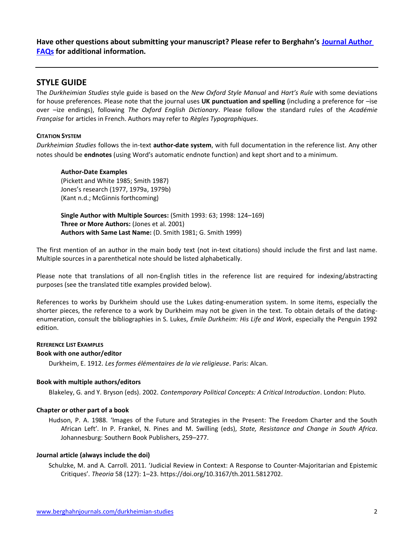**Have other questions about submitting your manuscript? Please refer to Berghahn's [Journal Author](https://www.berghahnjournals.com/page/journal-author-faqs)  [FAQs](https://www.berghahnjournals.com/page/journal-author-faqs) for additional information.**

# **STYLE GUIDE**

The *Durkheimian Studies* style guide is based on the *New Oxford Style Manual* and *Hart's Rule* with some deviations for house preferences. Please note that the journal uses **UK punctuation and spelling** (including a preference for –ise over –ize endings), following *The Oxford English Dictionary*. Please follow the standard rules of the *Académie Française* for articles in French. Authors may refer to *Règles Typographiques*.

# **CITATION SYSTEM**

*Durkheimian Studies* follows the in-text **author-date system**, with full documentation in the reference list. Any other notes should be **endnotes** (using Word's automatic endnote function) and kept short and to a minimum.

# **Author-Date Examples**

(Pickett and White 1985; Smith 1987) Jones's research (1977, 1979a, 1979b) (Kant n.d.; McGinnis forthcoming)

**Single Author with Multiple Sources:** (Smith 1993: 63; 1998: 124–169) **Three or More Authors:** (Jones et al. 2001) **Authors with Same Last Name:** (D. Smith 1981; G. Smith 1999)

The first mention of an author in the main body text (not in-text citations) should include the first and last name. Multiple sources in a parenthetical note should be listed alphabetically.

Please note that translations of all non-English titles in the reference list are required for indexing/abstracting purposes (see the translated title examples provided below).

References to works by Durkheim should use the Lukes dating-enumeration system. In some items, especially the shorter pieces, the reference to a work by Durkheim may not be given in the text. To obtain details of the datingenumeration, consult the bibliographies in S. Lukes, *Emile Durkheim: His Life and Work*, especially the Penguin 1992 edition.

# **REFERENCE LIST EXAMPLES**

## **Book with one author/editor**

Durkheim, E. 1912. *Les formes élémentaires de la vie religieuse*. Paris: Alcan.

## **Book with multiple authors/editors**

Blakeley, G. and Y. Bryson (eds). 2002. *Contemporary Political Concepts: A Critical Introduction*. London: Pluto.

## **Chapter or other part of a book**

Hudson, P. A. 1988. 'Images of the Future and Strategies in the Present: The Freedom Charter and the South African Left'. In P. Frankel, N. Pines and M. Swilling (eds), *State, Resistance and Change in South Africa*. Johannesburg: Southern Book Publishers, 259–277.

## **Journal article (always include the doi)**

Schulzke, M. and A. Carroll. 2011. 'Judicial Review in Context: A Response to Counter-Majoritarian and Epistemic Critiques'. *Theoria* 58 (127): 1–23. https://doi.org/10.3167/th.2011.5812702.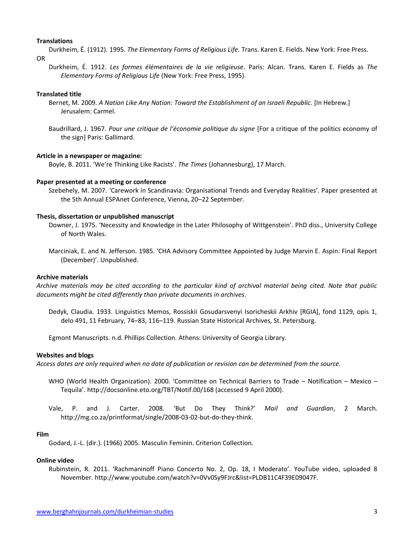#### **Translations**

Durkheim, É. (1912). 1995. *The Elementary Forms of Religious Life*. Trans. Karen E. Fields. New York: Free Press.

OR

Durkheim, É. 1912. *Les formes élémentaires de la vie religieuse*. Paris: Alcan. Trans. Karen E. Fields as *The Elementary Forms of Religious Life* (New York: Free Press, 1995).

#### **Translated title**

- Bernet, M. 2009. *A Nation Like Any Nation: Toward the Establishment of an Israeli Republic*. [In Hebrew.] Jerusalem: Carmel.
- Baudrillard, J. 1967. *Pour une critique de l'économie politique du signe* [For a critique of the politics economy of the sign] Paris: Gallimard.

#### **Article in a newspaper or magazine:**

Boyle, B. 2011. 'We're Thinking Like Racists'. *The Times* (Johannesburg), 17 March.

#### **Paper presented at a meeting or conference**

Szebehely, M. 2007. 'Carework in Scandinavia: Organisational Trends and Everyday Realities'. Paper presented at the 5th Annual ESPAnet Conference, Vienna, 20–22 September.

#### **Thesis, dissertation or unpublished manuscript**

- Downer, J. 1975. 'Necessity and Knowledge in the Later Philosophy of Wittgenstein'. PhD diss., University College of North Wales.
- Marciniak, E. and N. Jefferson. 1985. 'CHA Advisory Committee Appointed by Judge Marvin E. Aspin: Final Report (December)'. Unpublished.

#### **Archive materials**

*Archive materials may be cited according to the particular kind of archival material being cited. Note that public documents might be cited differently than private documents in archives*.

Dedyk, Claudia. 1933. Linguistics Memos, Rossiskii Gosudarsvenyi Isoricheskii Arkhiv [RGIA], fond 1129, opis 1, delo 491, 11 February, 74–83, 116–119. Russian State Historical Archives, St. Petersburg.

Egmont Manuscripts. n.d. Phillips Collection. Athens: University of Georgia Library.

#### **Websites and blogs**

*Access dates are only required when no date of publication or revision can be determined from the source.*

- WHO (World Health Organization). 2000. 'Committee on Technical Barriers to Trade Notification Mexico Tequila'. http://docsonline.eto.org/TBT/Notif.00/168 (accessed 9 April 2000).
- Vale, P. and J. Carter. 2008. 'But Do They Think?' *Mail and Guardian*, 2 March. http://mg.co.za/printformat/single/2008-03-02-but-do-they-think.

#### **Film**

Godard, J.-L. (dir.). (1966) 2005. Masculin Feminin. Criterion Collection.

#### **Online video**

Rubinstein, R. 2011. 'Rachmaninoff Piano Concerto No. 2, Op. 18, I Moderato'. YouTube video, uploaded 8 November. http://www.youtube.com/watch?v=0Vv0Sy9FJrc&list=PLDB11C4F39E09047F.